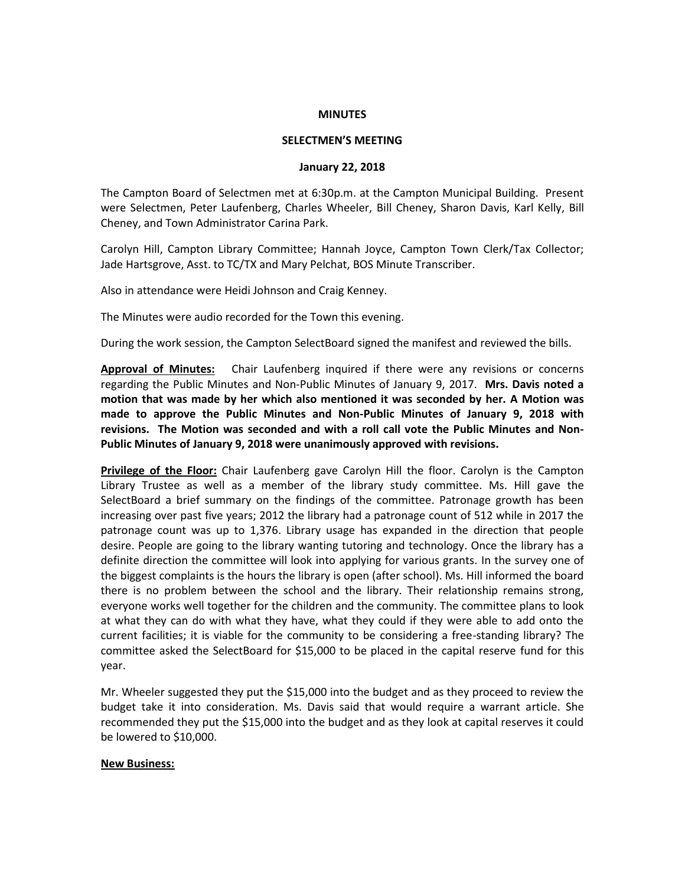### **MINUTES**

### **SELECTMEN'S MEETING**

#### **January 22, 2018**

The Campton Board of Selectmen met at 6:30p.m. at the Campton Municipal Building. Present were Selectmen, Peter Laufenberg, Charles Wheeler, Bill Cheney, Sharon Davis, Karl Kelly, Bill Cheney, and Town Administrator Carina Park.

Carolyn Hill, Campton Library Committee; Hannah Joyce, Campton Town Clerk/Tax Collector; Jade Hartsgrove, Asst. to TC/TX and Mary Pelchat, BOS Minute Transcriber.

Also in attendance were Heidi Johnson and Craig Kenney.

The Minutes were audio recorded for the Town this evening.

During the work session, the Campton SelectBoard signed the manifest and reviewed the bills.

**Approval of Minutes:** Chair Laufenberg inquired if there were any revisions or concerns regarding the Public Minutes and Non-Public Minutes of January 9, 2017. **Mrs. Davis noted a motion that was made by her which also mentioned it was seconded by her. A Motion was made to approve the Public Minutes and Non-Public Minutes of January 9, 2018 with revisions. The Motion was seconded and with a roll call vote the Public Minutes and Non-Public Minutes of January 9, 2018 were unanimously approved with revisions.** 

**Privilege of the Floor:** Chair Laufenberg gave Carolyn Hill the floor. Carolyn is the Campton Library Trustee as well as a member of the library study committee. Ms. Hill gave the SelectBoard a brief summary on the findings of the committee. Patronage growth has been increasing over past five years; 2012 the library had a patronage count of 512 while in 2017 the patronage count was up to 1,376. Library usage has expanded in the direction that people desire. People are going to the library wanting tutoring and technology. Once the library has a definite direction the committee will look into applying for various grants. In the survey one of the biggest complaints is the hours the library is open (after school). Ms. Hill informed the board there is no problem between the school and the library. Their relationship remains strong, everyone works well together for the children and the community. The committee plans to look at what they can do with what they have, what they could if they were able to add onto the current facilities; it is viable for the community to be considering a free-standing library? The committee asked the SelectBoard for \$15,000 to be placed in the capital reserve fund for this year.

Mr. Wheeler suggested they put the \$15,000 into the budget and as they proceed to review the budget take it into consideration. Ms. Davis said that would require a warrant article. She recommended they put the \$15,000 into the budget and as they look at capital reserves it could be lowered to \$10,000.

## **New Business:**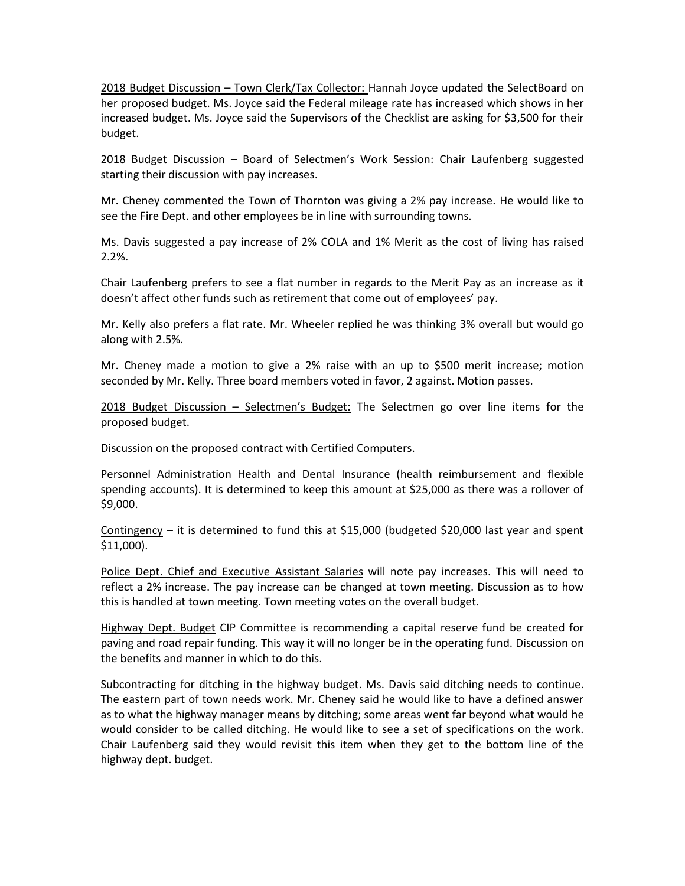2018 Budget Discussion – Town Clerk/Tax Collector: Hannah Joyce updated the SelectBoard on her proposed budget. Ms. Joyce said the Federal mileage rate has increased which shows in her increased budget. Ms. Joyce said the Supervisors of the Checklist are asking for \$3,500 for their budget.

2018 Budget Discussion – Board of Selectmen's Work Session: Chair Laufenberg suggested starting their discussion with pay increases.

Mr. Cheney commented the Town of Thornton was giving a 2% pay increase. He would like to see the Fire Dept. and other employees be in line with surrounding towns.

Ms. Davis suggested a pay increase of 2% COLA and 1% Merit as the cost of living has raised 2.2%.

Chair Laufenberg prefers to see a flat number in regards to the Merit Pay as an increase as it doesn't affect other funds such as retirement that come out of employees' pay.

Mr. Kelly also prefers a flat rate. Mr. Wheeler replied he was thinking 3% overall but would go along with 2.5%.

Mr. Cheney made a motion to give a 2% raise with an up to \$500 merit increase; motion seconded by Mr. Kelly. Three board members voted in favor, 2 against. Motion passes.

2018 Budget Discussion – Selectmen's Budget: The Selectmen go over line items for the proposed budget.

Discussion on the proposed contract with Certified Computers.

Personnel Administration Health and Dental Insurance (health reimbursement and flexible spending accounts). It is determined to keep this amount at \$25,000 as there was a rollover of \$9,000.

Contingency – it is determined to fund this at \$15,000 (budgeted \$20,000 last year and spent \$11,000).

Police Dept. Chief and Executive Assistant Salaries will note pay increases. This will need to reflect a 2% increase. The pay increase can be changed at town meeting. Discussion as to how this is handled at town meeting. Town meeting votes on the overall budget.

Highway Dept. Budget CIP Committee is recommending a capital reserve fund be created for paving and road repair funding. This way it will no longer be in the operating fund. Discussion on the benefits and manner in which to do this.

Subcontracting for ditching in the highway budget. Ms. Davis said ditching needs to continue. The eastern part of town needs work. Mr. Cheney said he would like to have a defined answer as to what the highway manager means by ditching; some areas went far beyond what would he would consider to be called ditching. He would like to see a set of specifications on the work. Chair Laufenberg said they would revisit this item when they get to the bottom line of the highway dept. budget.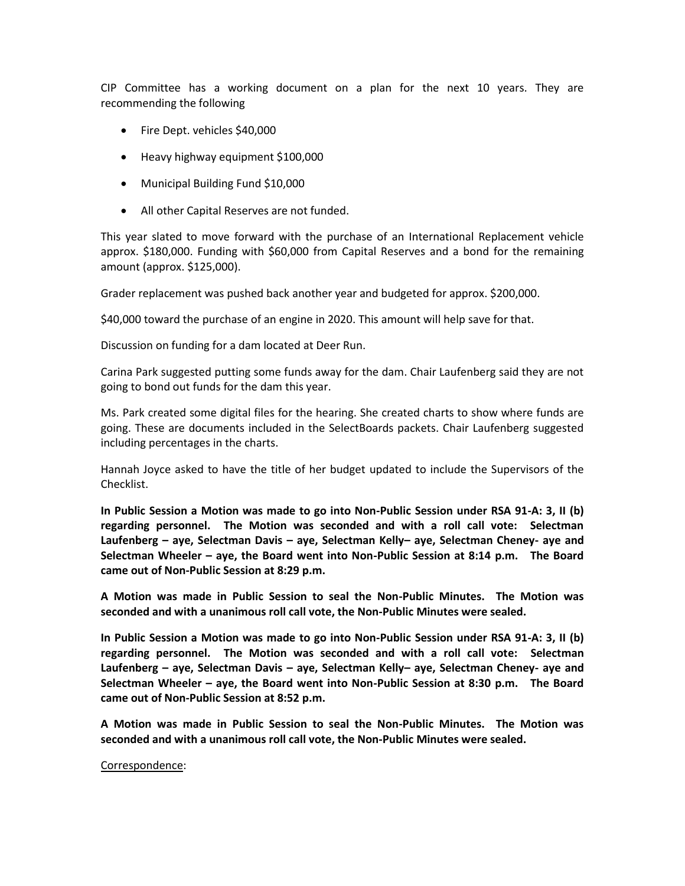CIP Committee has a working document on a plan for the next 10 years. They are recommending the following

- Fire Dept. vehicles \$40,000
- Heavy highway equipment \$100,000
- Municipal Building Fund \$10,000
- All other Capital Reserves are not funded.

This year slated to move forward with the purchase of an International Replacement vehicle approx. \$180,000. Funding with \$60,000 from Capital Reserves and a bond for the remaining amount (approx. \$125,000).

Grader replacement was pushed back another year and budgeted for approx. \$200,000.

\$40,000 toward the purchase of an engine in 2020. This amount will help save for that.

Discussion on funding for a dam located at Deer Run.

Carina Park suggested putting some funds away for the dam. Chair Laufenberg said they are not going to bond out funds for the dam this year.

Ms. Park created some digital files for the hearing. She created charts to show where funds are going. These are documents included in the SelectBoards packets. Chair Laufenberg suggested including percentages in the charts.

Hannah Joyce asked to have the title of her budget updated to include the Supervisors of the Checklist.

**In Public Session a Motion was made to go into Non-Public Session under RSA 91-A: 3, II (b) regarding personnel. The Motion was seconded and with a roll call vote: Selectman Laufenberg – aye, Selectman Davis – aye, Selectman Kelly– aye, Selectman Cheney- aye and Selectman Wheeler – aye, the Board went into Non-Public Session at 8:14 p.m. The Board came out of Non-Public Session at 8:29 p.m.**

**A Motion was made in Public Session to seal the Non-Public Minutes. The Motion was seconded and with a unanimous roll call vote, the Non-Public Minutes were sealed.**

**In Public Session a Motion was made to go into Non-Public Session under RSA 91-A: 3, II (b) regarding personnel. The Motion was seconded and with a roll call vote: Selectman Laufenberg – aye, Selectman Davis – aye, Selectman Kelly– aye, Selectman Cheney- aye and Selectman Wheeler – aye, the Board went into Non-Public Session at 8:30 p.m. The Board came out of Non-Public Session at 8:52 p.m.**

**A Motion was made in Public Session to seal the Non-Public Minutes. The Motion was seconded and with a unanimous roll call vote, the Non-Public Minutes were sealed.**

## Correspondence: